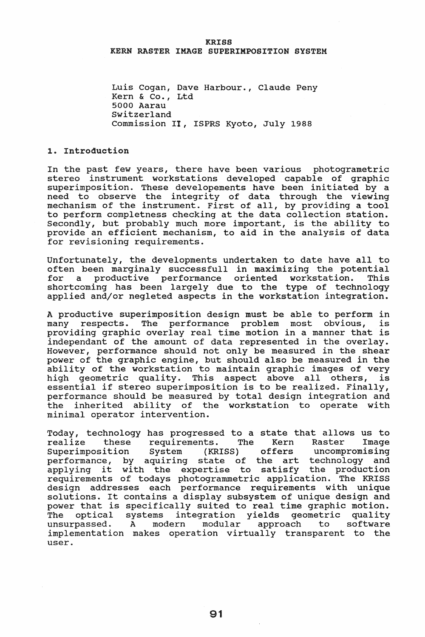#### **KRISS** KERN RASTER IMAGE SUPERIMPOSITION SYSTEM

Luis Cogan, Dave Harbour., Claude Peny Kern & Co., Ltd 5000 Aarau switzerland Commission II, ISPRS Kyoto, July 1988

### 1. Introduction

In the past few years, there have been various photogrametric stereo instrument workstations developed capable of graphic superimposition. These developements have been initiated by a need to observe the integrity of data through the viewing mechanism of the instrument. First of all, by providing a tool to perform completness checking at the data collection station. Secondly, but probably much more important, is the ability to provide an efficient mechanism, to aid in the analysis of data for revisioning requirements.

Unfortunately, the developments undertaken to date have all to often been marginaly successfull in maximizing the potential a productive performance oriented workstation. shortcoming has been largely due to the type of technology applied and/or negleted aspects in the workstation integration.

A productive superimposition design must be able to perform in many respects. The performance problem most obvious, is providing graphic overlay real time motion in a manner that is independant of the amount of data represented in the overlay. However, performance should not only be measured in the shear power of the graphic engine, but should also be measured in the ability of the workstation to maintain graphic images of very high geometric quality. This aspect above all others, is essential if stereo superimposition is to be realized. Finally, performance should be measured by total design integration and the inherited ability of the workstation to operate with minimal operator intervention.

Today, technology has progressed to a state that allows us to<br>realize these requirements. The Kern Raster Image these requirements. The Kern Raster Image<br>osition System (KRISS) offers uncompromising Superimposition System (KRISS) performance, by aquiring state of the art technology and applying it with the expertise to satisfy the production requirements of todays photogrammetric application. The KRISS design addresses each performance requirements with unique solutions. It contains a display subsystem of unique design and power that is specifically suited to real time graphic motion. The optical systems integration yields geometric quality unsurpassed. A modern modular approach to software implementation makes operation virtually transparent to the user.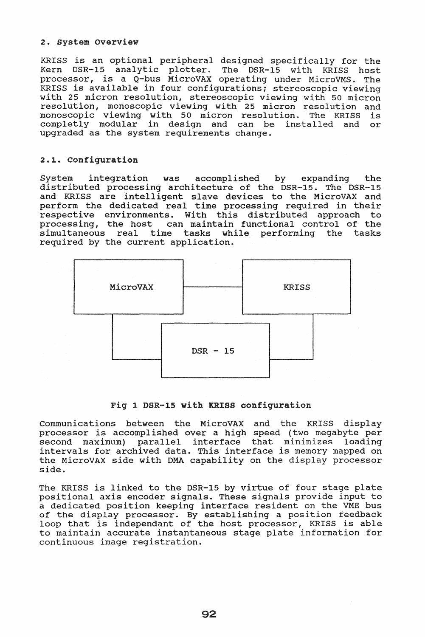## 2. system Overview

KRISS is an optional peripheral designed specifically for the<br>Kern DSR-15 analytic plotter. The DSR-15 with KRISS host Kern DSR-15 analytic plotter. The DSR-15 with KRISS host processor, is a Q-bus MicroVAX operating under MicroVMS.. The KRISS is available in four configurations; stereoscopic viewing with 25 micron resolution, stereoscopic viewing with 50 micron resolution, monoscopic viewing with 25 micron resolution and monoscopic viewing with 50 micron resolution. The KRISS is completly modular in design and can be installed and or upgraded as the system requirements change.

# 2.1. Configuration

System integration was accomplished by expanding the distributed processing architecture of the DSR-15. The'DSR-15 and KRISS are intelligent slave devices to the MicroVAX and perform the dedicated real time processing required in their respective environments. With this distributed approach to<br>processing, the host can maintain functional control of the can maintain functional control of the simultaneous real time tasks while performing the tasks required by the current application.



# Fig 1 DSR-1S with KRISS configuration

communications between the MicroVAX and the KRISS display processor is accomplished over a high speed (two megabyte per second maximum) parallel interface that minimizes loading parallel interface that minimizes loading intervals for archived data. This interface is memory mapped on the MicroVAX side with DMA capability on the display processor side.

The KRISS is linked to the DSR-15 by virtue of four stage plate positional axis encoder signals. These signals provide input to a dedicated position keeping interface resident on the VME bus of the display processor. By establishing a position feedback loop that is independant of the host processor, KRISS is able to maintain accurate instantaneous stage plate information for continuous image registration.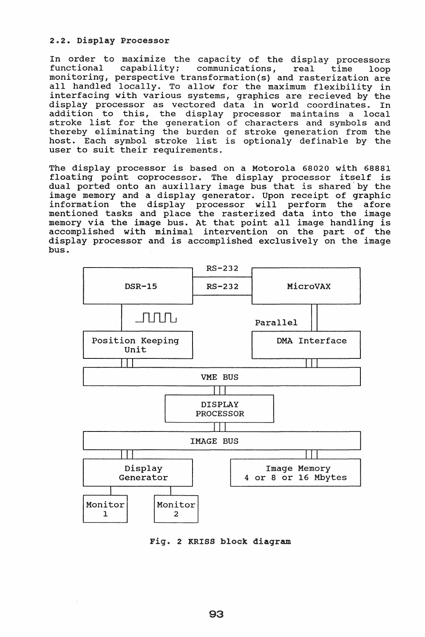#### 2.2. Display Processor

In order to maximize the capacity of the display processors<br>functional capability: communications. real time loop capability; communications, real time loop monitoring, perspective transformation(s) and rasterization are all handled locally. To allow for the maximum flexibility in interfacing with various systems, graphics are recieved by the display processor as vectored data in world coordinates. In addition to this, the display processor maintains a local addition to this, the display processor maintains a local<br>stroke list for the generation of characters and symbols and thereby eliminating the burden of stroke generation from the thereby efficinating the buiden of stroke generation from the<br>host. Each symbol stroke list is optionaly definable by the user to suit their requirements.

The display processor is based on a Motorola 68020 with 68881 floating point coprocessor.. The display processor itself is dual ported onto an auxilIary image bus that is shared'by the image memory and a display generator. Upon receipt of graphic information the display processor will perform the afore mentioned tasks and place the rasterized data into the image memory via the image bus. At that point all image handling is accomplished with minimal intervention on the part of the display processor and is accomplished exclusively on the image bus.



Fig. 2 KRISS block diagram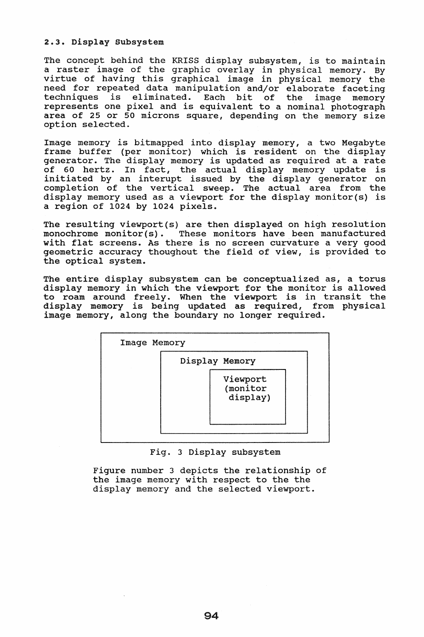### 2.3. Display Subsystem

The concept behind the KRISS display subsystem, is to maintain a raster image of the graphic overlay in physical memory. By virtue of having this graphical image in physical memory the need for repeated data manipulation and/or elaborate faceting techniques is eliminated. Each bit of the lmage memory represents one pixel and is equivalent to a nominal photograph area of 25 or **50** microns square, depending on the memory size option selected.

Image memory is bitmapped into display memory, a two Megabyte frame buffer (per monitor) which is resident on the display generator. The display memory is updated as required at a rate of 60 hertz. In fact, the actual display memory update is initiated by an interupt issued by the display generator on completion of the vertical sweep. The actual area from the display memory used as a viewport for the display monitor(s) is a region of 1024 by 1024 pixels.

The resulting viewport(s) are then displayed on high resolution<br>monochrome monitor(s). These monitors have been manufactured These monitors have been manufactured with flat screens. As there is no screen curvature a very good geometric accuracy thoughout the field of view, is provided to the optical system.

The entire display subsystem can be conceptualized as, a torus display memory in which the viewport for the monitor is allowed to roam around freely. When the viewport is in transit the display memory is being updated as required, from physical image memory, along the boundary no longer required.

| Image Memory |                                  |  |
|--------------|----------------------------------|--|
|              | Display Memory                   |  |
|              | Viewport<br>(monitor<br>display) |  |

Fig. 3 Display subsystem

Figure number 3 depicts the relationship of the image memory with respect to the the display memory and the selected viewport.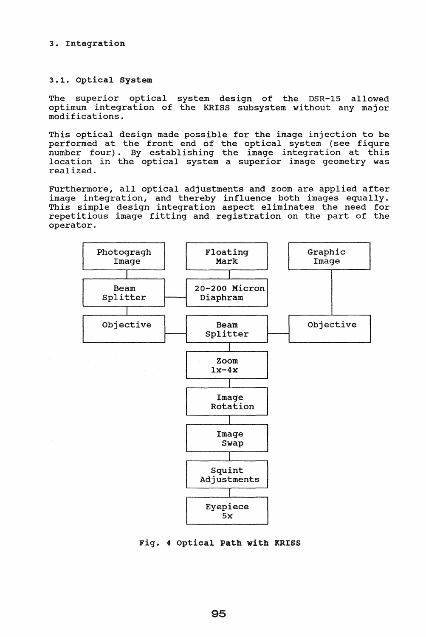## 3. Integration

## 3.1. Optical System

The superior optical system design of the DSR-15 allowed optimum integration of the KRISS subsystem without any major modifications.

This optical design made possible for the image injection to be performed at the front end of the optical system (see fiqure number four). By establishing the image integration at this location in the optical system a superior image geometry was realized.

Furthermore, all optical adjustments and zoom are applied after image integration, and thereby influence both images equally. This simple design integration aspect eliminates the need for repetitious image fitting and registration on the part of the operator.



Fig. 4 optical Path with KRISS